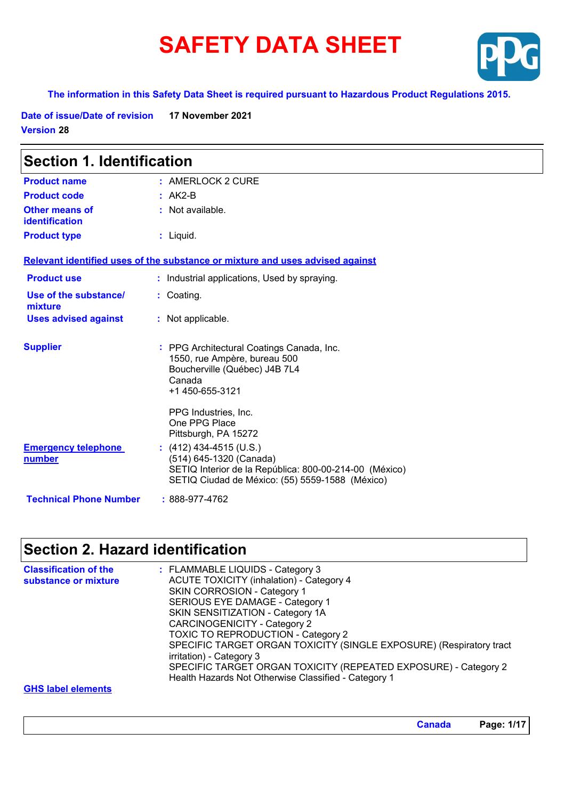# **SAFETY DATA SHEET**



#### **The information in this Safety Data Sheet is required pursuant to Hazardous Product Regulations 2015.**

**Date of issue/Date of revision 17 November 2021 Version 28**

| <b>Section 1. Identification</b>               |                                                                                                                                                                 |  |
|------------------------------------------------|-----------------------------------------------------------------------------------------------------------------------------------------------------------------|--|
| <b>Product name</b>                            | $:$ AMERLOCK 2 CURE                                                                                                                                             |  |
| <b>Product code</b>                            | $: AK2-B$                                                                                                                                                       |  |
| <b>Other means of</b><br><b>identification</b> | : Not available.                                                                                                                                                |  |
| <b>Product type</b>                            | : Liquid.                                                                                                                                                       |  |
|                                                | Relevant identified uses of the substance or mixture and uses advised against                                                                                   |  |
| <b>Product use</b>                             | : Industrial applications, Used by spraying.                                                                                                                    |  |
| Use of the substance/<br>mixture               | : Coating.                                                                                                                                                      |  |
| <b>Uses advised against</b>                    | : Not applicable.                                                                                                                                               |  |
| <b>Supplier</b>                                | : PPG Architectural Coatings Canada, Inc.<br>1550, rue Ampère, bureau 500<br>Boucherville (Québec) J4B 7L4<br>Canada<br>+1 450-655-3121                         |  |
|                                                | PPG Industries, Inc.<br>One PPG Place<br>Pittsburgh, PA 15272                                                                                                   |  |
| <b>Emergency telephone</b><br>number           | $(412)$ 434-4515 (U.S.)<br>(514) 645-1320 (Canada)<br>SETIQ Interior de la República: 800-00-214-00 (México)<br>SETIQ Ciudad de México: (55) 5559-1588 (México) |  |
| <b>Technical Phone Number</b>                  | $: 888-977-4762$                                                                                                                                                |  |

# **Section 2. Hazard identification**

| <b>Classification of the</b><br>substance or mixture | : FLAMMABLE LIQUIDS - Category 3<br><b>ACUTE TOXICITY (inhalation) - Category 4</b><br>SKIN CORROSION - Category 1<br>SERIOUS EYE DAMAGE - Category 1<br>SKIN SENSITIZATION - Category 1A<br><b>CARCINOGENICITY - Category 2</b><br><b>TOXIC TO REPRODUCTION - Category 2</b><br>SPECIFIC TARGET ORGAN TOXICITY (SINGLE EXPOSURE) (Respiratory tract<br>irritation) - Category 3<br>SPECIFIC TARGET ORGAN TOXICITY (REPEATED EXPOSURE) - Category 2<br>Health Hazards Not Otherwise Classified - Category 1 |
|------------------------------------------------------|-------------------------------------------------------------------------------------------------------------------------------------------------------------------------------------------------------------------------------------------------------------------------------------------------------------------------------------------------------------------------------------------------------------------------------------------------------------------------------------------------------------|
| <b>GHS label elements</b>                            |                                                                                                                                                                                                                                                                                                                                                                                                                                                                                                             |

**Canada Page: 1/17**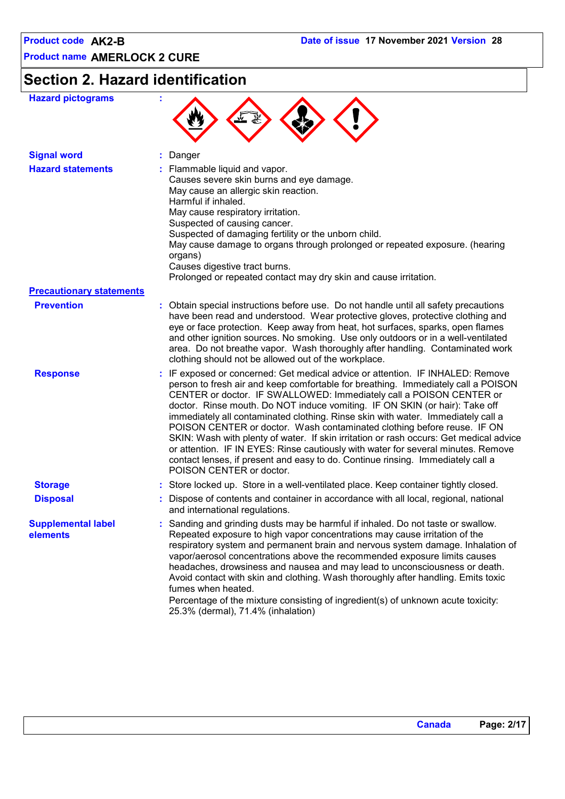# **Section 2. Hazard identification**

| <b>Hazard pictograms</b>              |                                                                                                                                                                                                                                                                                                                                                                                                                                                                                                                                                                                                                                                                                                                                                                                      |
|---------------------------------------|--------------------------------------------------------------------------------------------------------------------------------------------------------------------------------------------------------------------------------------------------------------------------------------------------------------------------------------------------------------------------------------------------------------------------------------------------------------------------------------------------------------------------------------------------------------------------------------------------------------------------------------------------------------------------------------------------------------------------------------------------------------------------------------|
| <b>Signal word</b>                    | Danger                                                                                                                                                                                                                                                                                                                                                                                                                                                                                                                                                                                                                                                                                                                                                                               |
| <b>Hazard statements</b>              | Flammable liquid and vapor.<br>Causes severe skin burns and eye damage.<br>May cause an allergic skin reaction.<br>Harmful if inhaled.<br>May cause respiratory irritation.<br>Suspected of causing cancer.<br>Suspected of damaging fertility or the unborn child.<br>May cause damage to organs through prolonged or repeated exposure. (hearing<br>organs)<br>Causes digestive tract burns.<br>Prolonged or repeated contact may dry skin and cause irritation.                                                                                                                                                                                                                                                                                                                   |
| <b>Precautionary statements</b>       |                                                                                                                                                                                                                                                                                                                                                                                                                                                                                                                                                                                                                                                                                                                                                                                      |
| <b>Prevention</b>                     | : Obtain special instructions before use. Do not handle until all safety precautions<br>have been read and understood. Wear protective gloves, protective clothing and<br>eye or face protection. Keep away from heat, hot surfaces, sparks, open flames<br>and other ignition sources. No smoking. Use only outdoors or in a well-ventilated<br>area. Do not breathe vapor. Wash thoroughly after handling. Contaminated work<br>clothing should not be allowed out of the workplace.                                                                                                                                                                                                                                                                                               |
| <b>Response</b>                       | IF exposed or concerned: Get medical advice or attention. IF INHALED: Remove<br>person to fresh air and keep comfortable for breathing. Immediately call a POISON<br>CENTER or doctor. IF SWALLOWED: Immediately call a POISON CENTER or<br>doctor. Rinse mouth. Do NOT induce vomiting. IF ON SKIN (or hair): Take off<br>immediately all contaminated clothing. Rinse skin with water. Immediately call a<br>POISON CENTER or doctor. Wash contaminated clothing before reuse. IF ON<br>SKIN: Wash with plenty of water. If skin irritation or rash occurs: Get medical advice<br>or attention. IF IN EYES: Rinse cautiously with water for several minutes. Remove<br>contact lenses, if present and easy to do. Continue rinsing. Immediately call a<br>POISON CENTER or doctor. |
| <b>Storage</b>                        | : Store locked up. Store in a well-ventilated place. Keep container tightly closed.                                                                                                                                                                                                                                                                                                                                                                                                                                                                                                                                                                                                                                                                                                  |
| <b>Disposal</b>                       | Dispose of contents and container in accordance with all local, regional, national<br>and international regulations.                                                                                                                                                                                                                                                                                                                                                                                                                                                                                                                                                                                                                                                                 |
| <b>Supplemental label</b><br>elements | : Sanding and grinding dusts may be harmful if inhaled. Do not taste or swallow.<br>Repeated exposure to high vapor concentrations may cause irritation of the<br>respiratory system and permanent brain and nervous system damage. Inhalation of<br>vapor/aerosol concentrations above the recommended exposure limits causes<br>headaches, drowsiness and nausea and may lead to unconsciousness or death.<br>Avoid contact with skin and clothing. Wash thoroughly after handling. Emits toxic<br>fumes when heated.<br>Percentage of the mixture consisting of ingredient(s) of unknown acute toxicity:<br>25.3% (dermal), 71.4% (inhalation)                                                                                                                                    |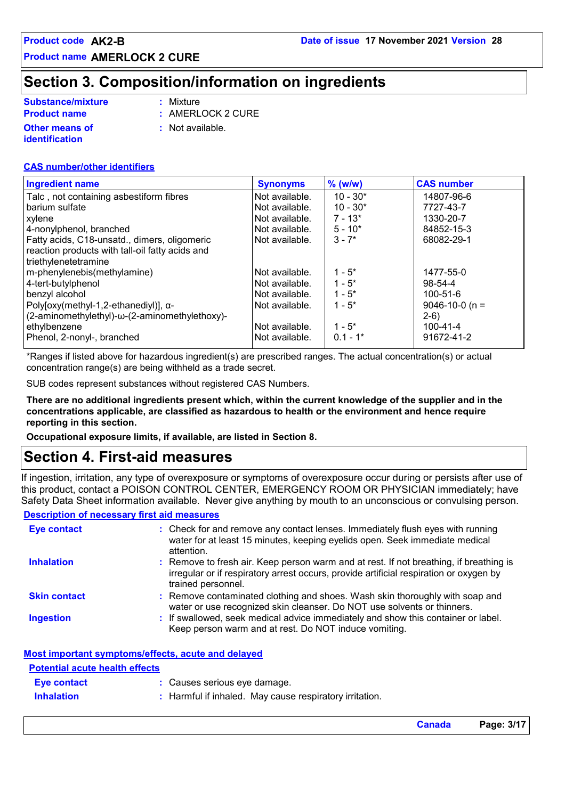### **Section 3. Composition/information on ingredients**

| <b>Substance/mixture</b>         | : Mixture                   |
|----------------------------------|-----------------------------|
| <b>Product name</b>              | $:$ AMERLOCK 2 CURE         |
| Other means of<br>identification | $\therefore$ Not available. |

#### **CAS number/other identifiers**

| <b>Ingredient name</b>                          | <b>Synonyms</b> | $%$ (w/w)  | <b>CAS number</b>    |
|-------------------------------------------------|-----------------|------------|----------------------|
| Talc, not containing asbestiform fibres         | Not available.  | $10 - 30*$ | 14807-96-6           |
| barium sulfate                                  | Not available.  | $10 - 30*$ | 7727-43-7            |
| xylene                                          | Not available.  | $7 - 13*$  | 1330-20-7            |
| 4-nonylphenol, branched                         | Not available.  | $5 - 10*$  | 84852-15-3           |
| Fatty acids, C18-unsatd., dimers, oligomeric    | Not available.  | $3 - 7*$   | 68082-29-1           |
| reaction products with tall-oil fatty acids and |                 |            |                      |
| triethylenetetramine                            |                 |            |                      |
| m-phenylenebis(methylamine)                     | Not available.  | $1 - 5^*$  | 1477-55-0            |
| 4-tert-butylphenol                              | Not available.  | $1 - 5^*$  | $98 - 54 - 4$        |
| benzyl alcohol                                  | Not available.  | $1 - 5^*$  | $100 - 51 - 6$       |
| Poly[oxy(methyl-1,2-ethanediyl)], α-            | Not available.  | $1 - 5^*$  | $9046 - 10 - 0$ (n = |
| (2-aminomethylethyl)-ω-(2-aminomethylethoxy)-   |                 |            | $2-6)$               |
| ethylbenzene                                    | Not available.  | $1 - 5^*$  | $100 - 41 - 4$       |
| Phenol, 2-nonyl-, branched                      | Not available.  | $0.1 - 1*$ | 91672-41-2           |

\*Ranges if listed above for hazardous ingredient(s) are prescribed ranges. The actual concentration(s) or actual concentration range(s) are being withheld as a trade secret.

SUB codes represent substances without registered CAS Numbers.

**There are no additional ingredients present which, within the current knowledge of the supplier and in the concentrations applicable, are classified as hazardous to health or the environment and hence require reporting in this section.**

**Occupational exposure limits, if available, are listed in Section 8.**

### **Section 4. First-aid measures**

If ingestion, irritation, any type of overexposure or symptoms of overexposure occur during or persists after use of this product, contact a POISON CONTROL CENTER, EMERGENCY ROOM OR PHYSICIAN immediately; have Safety Data Sheet information available. Never give anything by mouth to an unconscious or convulsing person.

#### **Description of necessary first aid measures**

| <b>Eye contact</b>  | : Check for and remove any contact lenses. Immediately flush eyes with running<br>water for at least 15 minutes, keeping eyelids open. Seek immediate medical<br>attention.                            |
|---------------------|--------------------------------------------------------------------------------------------------------------------------------------------------------------------------------------------------------|
| <b>Inhalation</b>   | : Remove to fresh air. Keep person warm and at rest. If not breathing, if breathing is<br>irregular or if respiratory arrest occurs, provide artificial respiration or oxygen by<br>trained personnel. |
| <b>Skin contact</b> | : Remove contaminated clothing and shoes. Wash skin thoroughly with soap and<br>water or use recognized skin cleanser. Do NOT use solvents or thinners.                                                |
| <b>Ingestion</b>    | : If swallowed, seek medical advice immediately and show this container or label.<br>Keep person warm and at rest. Do NOT induce vomiting.                                                             |

| Most important symptoms/effects, acute and delaved |  |  |
|----------------------------------------------------|--|--|
|                                                    |  |  |

| <b>Potential acute health effects</b> |                                                         |
|---------------------------------------|---------------------------------------------------------|
| <b>Eve contact</b>                    | : Causes serious eye damage.                            |
| <b>Inhalation</b>                     | : Harmful if inhaled. May cause respiratory irritation. |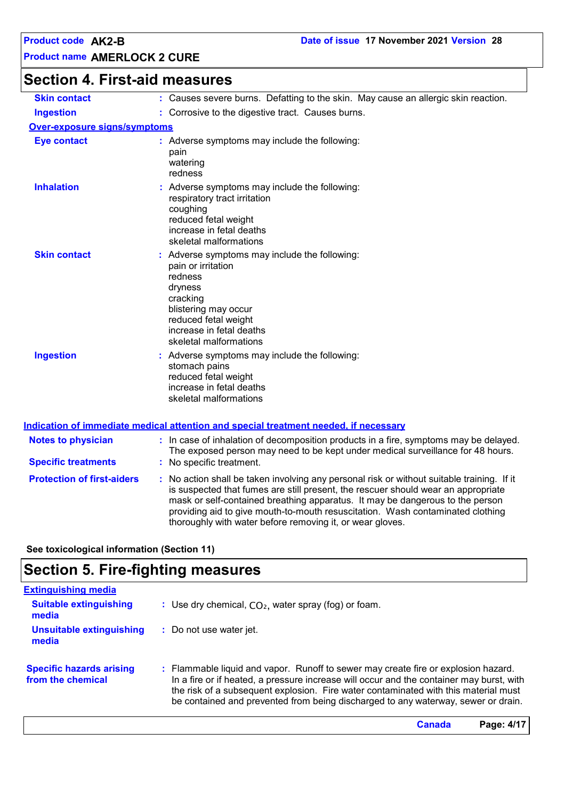# **Section 4. First-aid measures**

| <b>Skin contact</b>                 | : Causes severe burns. Defatting to the skin. May cause an allergic skin reaction.                                                                                                                                                                                                                                                                                                                              |
|-------------------------------------|-----------------------------------------------------------------------------------------------------------------------------------------------------------------------------------------------------------------------------------------------------------------------------------------------------------------------------------------------------------------------------------------------------------------|
| <b>Ingestion</b>                    | : Corrosive to the digestive tract. Causes burns.                                                                                                                                                                                                                                                                                                                                                               |
| <b>Over-exposure signs/symptoms</b> |                                                                                                                                                                                                                                                                                                                                                                                                                 |
| <b>Eye contact</b>                  | : Adverse symptoms may include the following:<br>pain<br>watering<br>redness                                                                                                                                                                                                                                                                                                                                    |
| <b>Inhalation</b>                   | : Adverse symptoms may include the following:<br>respiratory tract irritation<br>coughing<br>reduced fetal weight<br>increase in fetal deaths<br>skeletal malformations                                                                                                                                                                                                                                         |
| <b>Skin contact</b>                 | Adverse symptoms may include the following:<br>pain or irritation<br>redness<br>dryness<br>cracking<br>blistering may occur<br>reduced fetal weight<br>increase in fetal deaths<br>skeletal malformations                                                                                                                                                                                                       |
| <b>Ingestion</b>                    | Adverse symptoms may include the following:<br>stomach pains<br>reduced fetal weight<br>increase in fetal deaths<br>skeletal malformations                                                                                                                                                                                                                                                                      |
|                                     | <u>Indication of immediate medical attention and special treatment needed, if necessary</u>                                                                                                                                                                                                                                                                                                                     |
| <b>Notes to physician</b>           | : In case of inhalation of decomposition products in a fire, symptoms may be delayed.<br>The exposed person may need to be kept under medical surveillance for 48 hours.                                                                                                                                                                                                                                        |
| <b>Specific treatments</b>          | : No specific treatment.                                                                                                                                                                                                                                                                                                                                                                                        |
| <b>Protection of first-aiders</b>   | : No action shall be taken involving any personal risk or without suitable training. If it<br>is suspected that fumes are still present, the rescuer should wear an appropriate<br>mask or self-contained breathing apparatus. It may be dangerous to the person<br>providing aid to give mouth-to-mouth resuscitation. Wash contaminated clothing<br>thoroughly with water before removing it, or wear gloves. |

**See toxicological information (Section 11)**

# **Section 5. Fire-fighting measures**

| <b>Extinguishing media</b>                           |                                                                                                                                                                                                                                                                                                                                                            |
|------------------------------------------------------|------------------------------------------------------------------------------------------------------------------------------------------------------------------------------------------------------------------------------------------------------------------------------------------------------------------------------------------------------------|
| <b>Suitable extinguishing</b><br>media               | : Use dry chemical, $CO2$ , water spray (fog) or foam.                                                                                                                                                                                                                                                                                                     |
| <b>Unsuitable extinguishing</b><br>media             | : Do not use water jet.                                                                                                                                                                                                                                                                                                                                    |
| <b>Specific hazards arising</b><br>from the chemical | : Flammable liquid and vapor. Runoff to sewer may create fire or explosion hazard.<br>In a fire or if heated, a pressure increase will occur and the container may burst, with<br>the risk of a subsequent explosion. Fire water contaminated with this material must<br>be contained and prevented from being discharged to any waterway, sewer or drain. |
|                                                      | Page: 4/17<br>Canada                                                                                                                                                                                                                                                                                                                                       |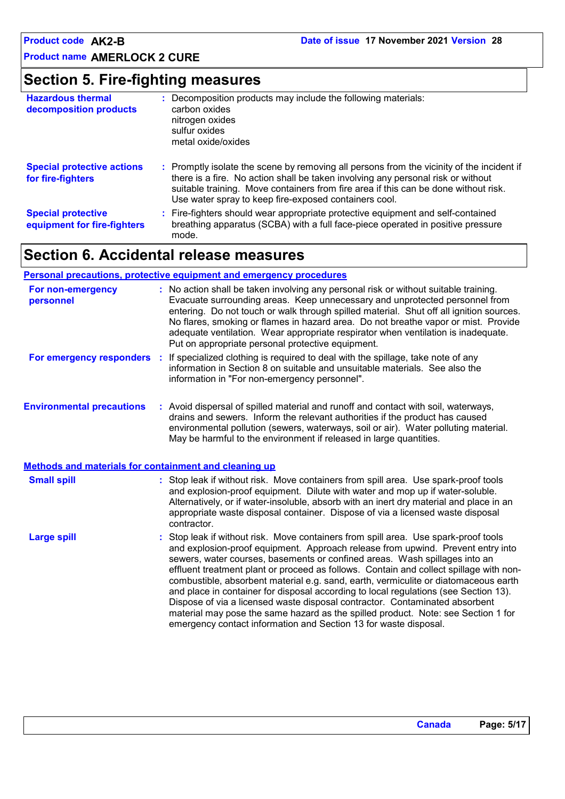### **Section 5. Fire-fighting measures**

| <b>Hazardous thermal</b><br>decomposition products       | : Decomposition products may include the following materials:<br>carbon oxides<br>nitrogen oxides<br>sulfur oxides<br>metal oxide/oxides                                                                                                                                                                                      |
|----------------------------------------------------------|-------------------------------------------------------------------------------------------------------------------------------------------------------------------------------------------------------------------------------------------------------------------------------------------------------------------------------|
| <b>Special protective actions</b><br>for fire-fighters   | : Promptly isolate the scene by removing all persons from the vicinity of the incident if<br>there is a fire. No action shall be taken involving any personal risk or without<br>suitable training. Move containers from fire area if this can be done without risk.<br>Use water spray to keep fire-exposed containers cool. |
| <b>Special protective</b><br>equipment for fire-fighters | : Fire-fighters should wear appropriate protective equipment and self-contained<br>breathing apparatus (SCBA) with a full face-piece operated in positive pressure<br>mode.                                                                                                                                                   |

## **Section 6. Accidental release measures**

#### **Personal precautions, protective equipment and emergency procedures**

| For non-emergency<br>personnel                               | : No action shall be taken involving any personal risk or without suitable training.<br>Evacuate surrounding areas. Keep unnecessary and unprotected personnel from<br>entering. Do not touch or walk through spilled material. Shut off all ignition sources.<br>No flares, smoking or flames in hazard area. Do not breathe vapor or mist. Provide<br>adequate ventilation. Wear appropriate respirator when ventilation is inadequate.<br>Put on appropriate personal protective equipment.                                                                                                                                                                                                                                                                        |
|--------------------------------------------------------------|-----------------------------------------------------------------------------------------------------------------------------------------------------------------------------------------------------------------------------------------------------------------------------------------------------------------------------------------------------------------------------------------------------------------------------------------------------------------------------------------------------------------------------------------------------------------------------------------------------------------------------------------------------------------------------------------------------------------------------------------------------------------------|
|                                                              | For emergency responders : If specialized clothing is required to deal with the spillage, take note of any<br>information in Section 8 on suitable and unsuitable materials. See also the<br>information in "For non-emergency personnel".                                                                                                                                                                                                                                                                                                                                                                                                                                                                                                                            |
| <b>Environmental precautions</b>                             | : Avoid dispersal of spilled material and runoff and contact with soil, waterways,<br>drains and sewers. Inform the relevant authorities if the product has caused<br>environmental pollution (sewers, waterways, soil or air). Water polluting material.<br>May be harmful to the environment if released in large quantities.                                                                                                                                                                                                                                                                                                                                                                                                                                       |
| <b>Methods and materials for containment and cleaning up</b> |                                                                                                                                                                                                                                                                                                                                                                                                                                                                                                                                                                                                                                                                                                                                                                       |
| <b>Small spill</b>                                           | : Stop leak if without risk. Move containers from spill area. Use spark-proof tools<br>and explosion-proof equipment. Dilute with water and mop up if water-soluble.<br>Alternatively, or if water-insoluble, absorb with an inert dry material and place in an<br>appropriate waste disposal container. Dispose of via a licensed waste disposal<br>contractor.                                                                                                                                                                                                                                                                                                                                                                                                      |
| <b>Large spill</b>                                           | : Stop leak if without risk. Move containers from spill area. Use spark-proof tools<br>and explosion-proof equipment. Approach release from upwind. Prevent entry into<br>sewers, water courses, basements or confined areas. Wash spillages into an<br>effluent treatment plant or proceed as follows. Contain and collect spillage with non-<br>combustible, absorbent material e.g. sand, earth, vermiculite or diatomaceous earth<br>and place in container for disposal according to local regulations (see Section 13).<br>Dispose of via a licensed waste disposal contractor. Contaminated absorbent<br>material may pose the same hazard as the spilled product. Note: see Section 1 for<br>emergency contact information and Section 13 for waste disposal. |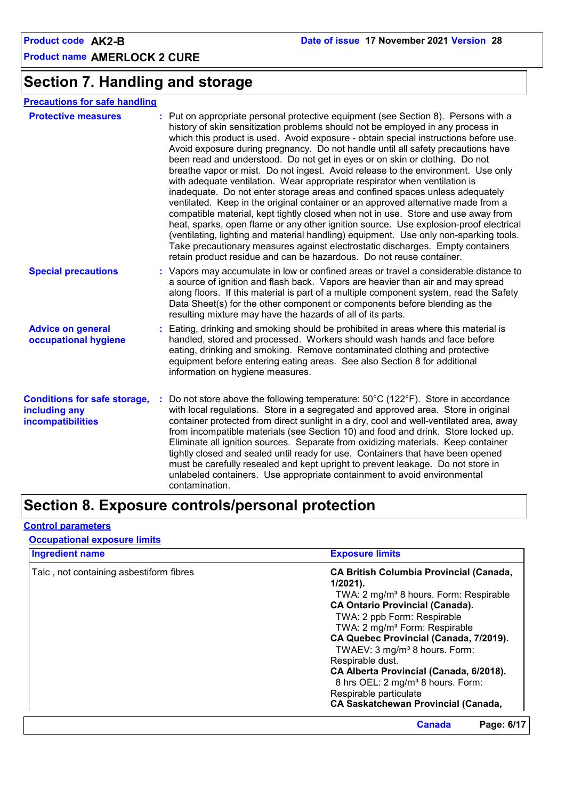### **Section 7. Handling and storage**

| <b>Protective measures</b> | : Put on appropriate personal protective equipment (see Section 8). Persons with a<br>history of skin sensitization problems should not be employed in any process in<br>which this product is used. Avoid exposure - obtain special instructions before use.<br>Avoid exposure during pregnancy. Do not handle until all safety precautions have<br>been read and understood. Do not get in eyes or on skin or clothing. Do not<br>breathe vapor or mist. Do not ingest. Avoid release to the environment. Use only<br>with adequate ventilation. Wear appropriate respirator when ventilation is<br>inadequate. Do not enter storage areas and confined spaces unless adequately<br>ventilated. Keep in the original container or an approved alternative made from a<br>compatible material, kept tightly closed when not in use. Store and use away from<br>heat, sparks, open flame or any other ignition source. Use explosion-proof electrical<br>(ventilating, lighting and material handling) equipment. Use only non-sparking tools.<br>Take precautionary measures against electrostatic discharges. Empty containers |
|----------------------------|----------------------------------------------------------------------------------------------------------------------------------------------------------------------------------------------------------------------------------------------------------------------------------------------------------------------------------------------------------------------------------------------------------------------------------------------------------------------------------------------------------------------------------------------------------------------------------------------------------------------------------------------------------------------------------------------------------------------------------------------------------------------------------------------------------------------------------------------------------------------------------------------------------------------------------------------------------------------------------------------------------------------------------------------------------------------------------------------------------------------------------|
|                            | retain product residue and can be hazardous. Do not reuse container.                                                                                                                                                                                                                                                                                                                                                                                                                                                                                                                                                                                                                                                                                                                                                                                                                                                                                                                                                                                                                                                             |

- **Special precautions :** Vapors may accumulate in low or confined areas or travel a considerable distance to a source of ignition and flash back. Vapors are heavier than air and may spread along floors. If this material is part of a multiple component system, read the Safety Data Sheet(s) for the other component or components before blending as the resulting mixture may have the hazards of all of its parts.
- **Advice on general occupational hygiene** Eating, drinking and smoking should be prohibited in areas where this material is **:** handled, stored and processed. Workers should wash hands and face before eating, drinking and smoking. Remove contaminated clothing and protective equipment before entering eating areas. See also Section 8 for additional information on hygiene measures.
- **Conditions for safe storage, : Do not store above the following temperature: 50°C (122°F). Store in accordance including any incompatibilities** with local regulations. Store in a segregated and approved area. Store in original container protected from direct sunlight in a dry, cool and well-ventilated area, away from incompatible materials (see Section 10) and food and drink. Store locked up. Eliminate all ignition sources. Separate from oxidizing materials. Keep container tightly closed and sealed until ready for use. Containers that have been opened must be carefully resealed and kept upright to prevent leakage. Do not store in unlabeled containers. Use appropriate containment to avoid environmental contamination.

### **Section 8. Exposure controls/personal protection**

#### **Control parameters**

#### **Occupational exposure limits**

| <b>Ingredient name</b>                  | <b>Exposure limits</b>                             |  |  |  |
|-----------------------------------------|----------------------------------------------------|--|--|--|
| Talc, not containing asbestiform fibres | <b>CA British Columbia Provincial (Canada,</b>     |  |  |  |
|                                         | $1/2021$ ).                                        |  |  |  |
|                                         | TWA: 2 mg/m <sup>3</sup> 8 hours. Form: Respirable |  |  |  |
|                                         | <b>CA Ontario Provincial (Canada).</b>             |  |  |  |
|                                         | TWA: 2 ppb Form: Respirable                        |  |  |  |
|                                         | TWA: 2 mg/m <sup>3</sup> Form: Respirable          |  |  |  |
|                                         | CA Quebec Provincial (Canada, 7/2019).             |  |  |  |
|                                         | TWAEV: 3 mg/m <sup>3</sup> 8 hours. Form:          |  |  |  |
|                                         | Respirable dust.                                   |  |  |  |
|                                         | CA Alberta Provincial (Canada, 6/2018).            |  |  |  |
|                                         | 8 hrs OEL: 2 mg/m <sup>3</sup> 8 hours. Form:      |  |  |  |
|                                         | Respirable particulate                             |  |  |  |
|                                         | <b>CA Saskatchewan Provincial (Canada,</b>         |  |  |  |
|                                         | <b>Canada</b><br>Page: 6/17                        |  |  |  |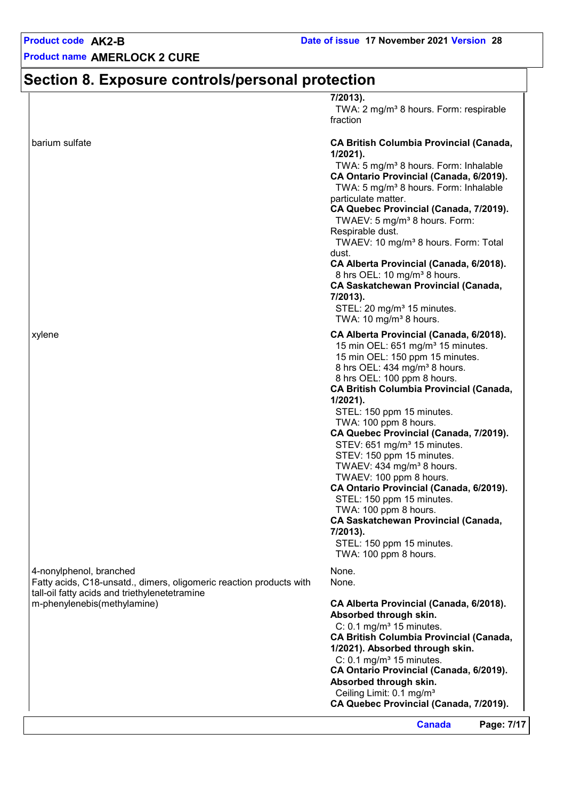# **Section 8. Exposure controls/personal protection**

|                                                                                                | 7/2013).<br>TWA: 2 mg/m <sup>3</sup> 8 hours. Form: respirable                                                                                                                                                                                                                                                                                                                                                                                                                                                                                                                                                                                                                                                                        |
|------------------------------------------------------------------------------------------------|---------------------------------------------------------------------------------------------------------------------------------------------------------------------------------------------------------------------------------------------------------------------------------------------------------------------------------------------------------------------------------------------------------------------------------------------------------------------------------------------------------------------------------------------------------------------------------------------------------------------------------------------------------------------------------------------------------------------------------------|
|                                                                                                | fraction                                                                                                                                                                                                                                                                                                                                                                                                                                                                                                                                                                                                                                                                                                                              |
| barium sulfate                                                                                 | <b>CA British Columbia Provincial (Canada,</b><br>$1/2021$ ).                                                                                                                                                                                                                                                                                                                                                                                                                                                                                                                                                                                                                                                                         |
|                                                                                                | TWA: 5 mg/m <sup>3</sup> 8 hours. Form: Inhalable<br>CA Ontario Provincial (Canada, 6/2019).<br>TWA: 5 mg/m <sup>3</sup> 8 hours. Form: Inhalable<br>particulate matter.<br>CA Quebec Provincial (Canada, 7/2019).<br>TWAEV: 5 mg/m <sup>3</sup> 8 hours. Form:<br>Respirable dust.<br>TWAEV: 10 mg/m <sup>3</sup> 8 hours. Form: Total<br>dust.<br>CA Alberta Provincial (Canada, 6/2018).<br>8 hrs OEL: 10 mg/m <sup>3</sup> 8 hours.<br><b>CA Saskatchewan Provincial (Canada,</b><br>7/2013).                                                                                                                                                                                                                                     |
|                                                                                                | STEL: 20 mg/m <sup>3</sup> 15 minutes.<br>TWA: 10 mg/m <sup>3</sup> 8 hours.                                                                                                                                                                                                                                                                                                                                                                                                                                                                                                                                                                                                                                                          |
| xylene                                                                                         | CA Alberta Provincial (Canada, 6/2018).<br>15 min OEL: 651 mg/m <sup>3</sup> 15 minutes.<br>15 min OEL: 150 ppm 15 minutes.<br>8 hrs OEL: 434 mg/m <sup>3</sup> 8 hours.<br>8 hrs OEL: 100 ppm 8 hours.<br><b>CA British Columbia Provincial (Canada,</b><br>$1/2021$ ).<br>STEL: 150 ppm 15 minutes.<br>TWA: 100 ppm 8 hours.<br>CA Quebec Provincial (Canada, 7/2019).<br>STEV: 651 mg/m <sup>3</sup> 15 minutes.<br>STEV: 150 ppm 15 minutes.<br>TWAEV: 434 mg/m <sup>3</sup> 8 hours.<br>TWAEV: 100 ppm 8 hours.<br>CA Ontario Provincial (Canada, 6/2019).<br>STEL: 150 ppm 15 minutes.<br>TWA: 100 ppm 8 hours.<br><b>CA Saskatchewan Provincial (Canada,</b><br>7/2013).<br>STEL: 150 ppm 15 minutes.<br>TWA: 100 ppm 8 hours. |
| 4-nonylphenol, branched<br>Fatty acids, C18-unsatd., dimers, oligomeric reaction products with | None.<br>None.                                                                                                                                                                                                                                                                                                                                                                                                                                                                                                                                                                                                                                                                                                                        |
| tall-oil fatty acids and triethylenetetramine<br>m-phenylenebis(methylamine)                   | CA Alberta Provincial (Canada, 6/2018).<br>Absorbed through skin.                                                                                                                                                                                                                                                                                                                                                                                                                                                                                                                                                                                                                                                                     |
|                                                                                                | C: $0.1 \text{ mg/m}^3$ 15 minutes.<br><b>CA British Columbia Provincial (Canada,</b><br>1/2021). Absorbed through skin.<br>C: $0.1 \text{ mg/m}^3$ 15 minutes.<br>CA Ontario Provincial (Canada, 6/2019).<br>Absorbed through skin.<br>Ceiling Limit: 0.1 mg/m <sup>3</sup><br>CA Quebec Provincial (Canada, 7/2019).                                                                                                                                                                                                                                                                                                                                                                                                                |
|                                                                                                | <b>Canada</b><br>Page: 7/17                                                                                                                                                                                                                                                                                                                                                                                                                                                                                                                                                                                                                                                                                                           |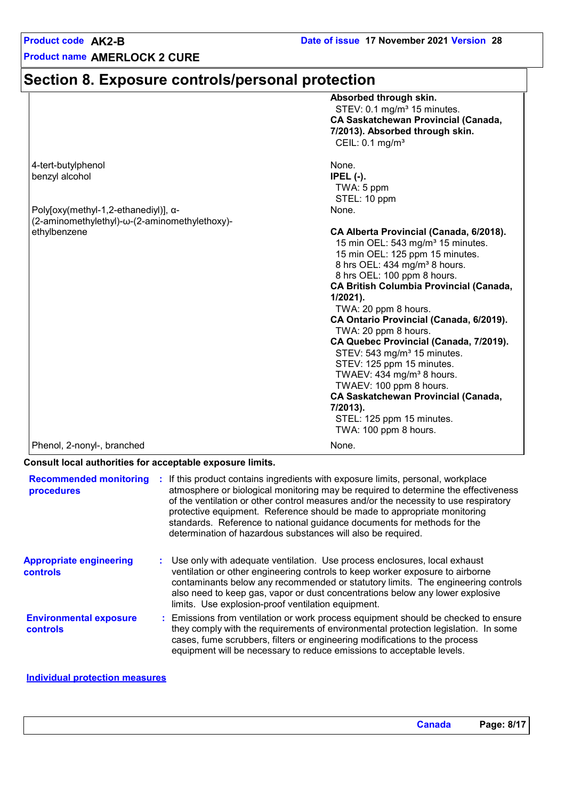# **Section 8. Exposure controls/personal protection**

|                                               | Absorbed through skin.                         |
|-----------------------------------------------|------------------------------------------------|
|                                               | STEV: 0.1 mg/m <sup>3</sup> 15 minutes.        |
|                                               | <b>CA Saskatchewan Provincial (Canada,</b>     |
|                                               | 7/2013). Absorbed through skin.                |
|                                               | CEIL: $0.1 \text{ mg/m}^3$                     |
|                                               |                                                |
| 4-tert-butylphenol                            | None.                                          |
| benzyl alcohol                                | $IPEL$ (-).                                    |
|                                               | TWA: 5 ppm                                     |
|                                               | STEL: 10 ppm                                   |
| Poly[oxy(methyl-1,2-ethanediyl)], $\alpha$ -  | None.                                          |
| (2-aminomethylethyl)-ω-(2-aminomethylethoxy)- |                                                |
| ethylbenzene                                  | CA Alberta Provincial (Canada, 6/2018).        |
|                                               | 15 min OEL: 543 mg/m <sup>3</sup> 15 minutes.  |
|                                               |                                                |
|                                               | 15 min OEL: 125 ppm 15 minutes.                |
|                                               | 8 hrs OEL: 434 mg/m <sup>3</sup> 8 hours.      |
|                                               | 8 hrs OEL: 100 ppm 8 hours.                    |
|                                               | <b>CA British Columbia Provincial (Canada,</b> |
|                                               | $1/2021$ ).                                    |
|                                               | TWA: 20 ppm 8 hours.                           |
|                                               | CA Ontario Provincial (Canada, 6/2019).        |
|                                               | TWA: 20 ppm 8 hours.                           |
|                                               | CA Quebec Provincial (Canada, 7/2019).         |
|                                               | STEV: 543 mg/m <sup>3</sup> 15 minutes.        |
|                                               | STEV: 125 ppm 15 minutes.                      |
|                                               | TWAEV: 434 mg/m <sup>3</sup> 8 hours.          |
|                                               | TWAEV: 100 ppm 8 hours.                        |
|                                               | <b>CA Saskatchewan Provincial (Canada,</b>     |
|                                               | 7/2013).                                       |
|                                               | STEL: 125 ppm 15 minutes.                      |
|                                               | TWA: 100 ppm 8 hours.                          |
| Phenol, 2-nonyl-, branched                    | None.                                          |

#### **Consult local authorities for acceptable exposure limits.**

| <b>Recommended monitoring</b><br>procedures      | : If this product contains ingredients with exposure limits, personal, workplace<br>atmosphere or biological monitoring may be required to determine the effectiveness<br>of the ventilation or other control measures and/or the necessity to use respiratory<br>protective equipment. Reference should be made to appropriate monitoring<br>standards. Reference to national guidance documents for methods for the<br>determination of hazardous substances will also be required. |
|--------------------------------------------------|---------------------------------------------------------------------------------------------------------------------------------------------------------------------------------------------------------------------------------------------------------------------------------------------------------------------------------------------------------------------------------------------------------------------------------------------------------------------------------------|
| <b>Appropriate engineering</b><br>controls       | : Use only with adequate ventilation. Use process enclosures, local exhaust<br>ventilation or other engineering controls to keep worker exposure to airborne<br>contaminants below any recommended or statutory limits. The engineering controls<br>also need to keep gas, vapor or dust concentrations below any lower explosive<br>limits. Use explosion-proof ventilation equipment.                                                                                               |
| <b>Environmental exposure</b><br><b>controls</b> | : Emissions from ventilation or work process equipment should be checked to ensure<br>they comply with the requirements of environmental protection legislation. In some<br>cases, fume scrubbers, filters or engineering modifications to the process<br>equipment will be necessary to reduce emissions to acceptable levels.                                                                                                                                                       |
|                                                  |                                                                                                                                                                                                                                                                                                                                                                                                                                                                                       |

#### **Individual protection measures**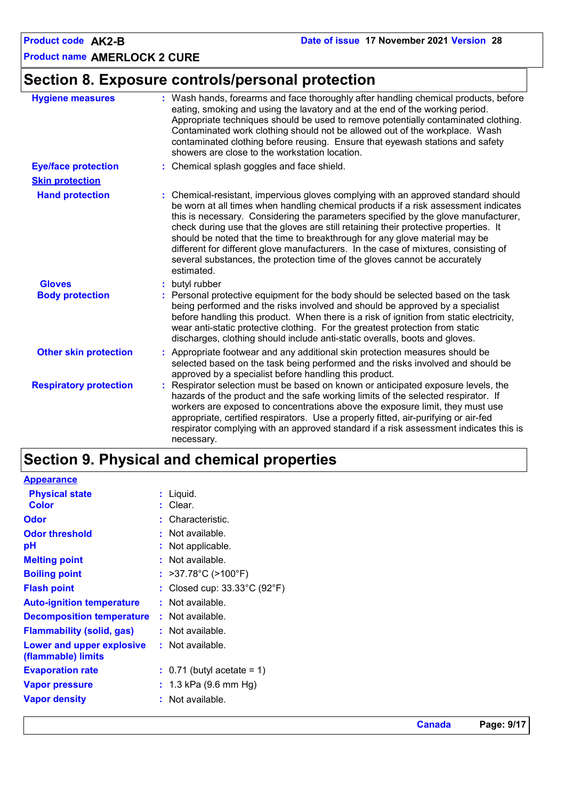# **Section 8. Exposure controls/personal protection**

| <b>Hygiene measures</b>       | : Wash hands, forearms and face thoroughly after handling chemical products, before<br>eating, smoking and using the lavatory and at the end of the working period.<br>Appropriate techniques should be used to remove potentially contaminated clothing.<br>Contaminated work clothing should not be allowed out of the workplace. Wash<br>contaminated clothing before reusing. Ensure that eyewash stations and safety<br>showers are close to the workstation location.                                                                                                                                               |
|-------------------------------|---------------------------------------------------------------------------------------------------------------------------------------------------------------------------------------------------------------------------------------------------------------------------------------------------------------------------------------------------------------------------------------------------------------------------------------------------------------------------------------------------------------------------------------------------------------------------------------------------------------------------|
| <b>Eye/face protection</b>    | : Chemical splash goggles and face shield.                                                                                                                                                                                                                                                                                                                                                                                                                                                                                                                                                                                |
| <b>Skin protection</b>        |                                                                                                                                                                                                                                                                                                                                                                                                                                                                                                                                                                                                                           |
| <b>Hand protection</b>        | : Chemical-resistant, impervious gloves complying with an approved standard should<br>be worn at all times when handling chemical products if a risk assessment indicates<br>this is necessary. Considering the parameters specified by the glove manufacturer,<br>check during use that the gloves are still retaining their protective properties. It<br>should be noted that the time to breakthrough for any glove material may be<br>different for different glove manufacturers. In the case of mixtures, consisting of<br>several substances, the protection time of the gloves cannot be accurately<br>estimated. |
| <b>Gloves</b>                 | butyl rubber                                                                                                                                                                                                                                                                                                                                                                                                                                                                                                                                                                                                              |
| <b>Body protection</b>        | Personal protective equipment for the body should be selected based on the task<br>being performed and the risks involved and should be approved by a specialist<br>before handling this product. When there is a risk of ignition from static electricity,<br>wear anti-static protective clothing. For the greatest protection from static<br>discharges, clothing should include anti-static overalls, boots and gloves.                                                                                                                                                                                               |
| <b>Other skin protection</b>  | : Appropriate footwear and any additional skin protection measures should be<br>selected based on the task being performed and the risks involved and should be<br>approved by a specialist before handling this product.                                                                                                                                                                                                                                                                                                                                                                                                 |
| <b>Respiratory protection</b> | Respirator selection must be based on known or anticipated exposure levels, the<br>hazards of the product and the safe working limits of the selected respirator. If<br>workers are exposed to concentrations above the exposure limit, they must use<br>appropriate, certified respirators. Use a properly fitted, air-purifying or air-fed<br>respirator complying with an approved standard if a risk assessment indicates this is<br>necessary.                                                                                                                                                                       |

# **Section 9. Physical and chemical properties**

| <b>Appearance</b>                                      |                                                   |
|--------------------------------------------------------|---------------------------------------------------|
| <b>Physical state</b>                                  | $:$ Liquid.                                       |
| <b>Color</b>                                           | $:$ Clear.                                        |
| <b>Odor</b>                                            | : Characteristic.                                 |
| <b>Odor threshold</b>                                  | : Not available.                                  |
| pH                                                     | : Not applicable.                                 |
| <b>Melting point</b>                                   | : Not available.                                  |
| <b>Boiling point</b>                                   | : $>37.78^{\circ}C$ ( $>100^{\circ}F$ )           |
| <b>Flash point</b>                                     | : Closed cup: $33.33^{\circ}$ C (92 $^{\circ}$ F) |
| <b>Auto-ignition temperature</b>                       | : Not available.                                  |
| <b>Decomposition temperature</b>                       | : Not available.                                  |
| <b>Flammability (solid, gas)</b>                       | : Not available.                                  |
| <b>Lower and upper explosive</b><br>(flammable) limits | : Not available.                                  |
| <b>Evaporation rate</b>                                | $\therefore$ 0.71 (butyl acetate = 1)             |
| <b>Vapor pressure</b>                                  | : $1.3$ kPa (9.6 mm Hg)                           |
| <b>Vapor density</b>                                   | : Not available.                                  |
|                                                        |                                                   |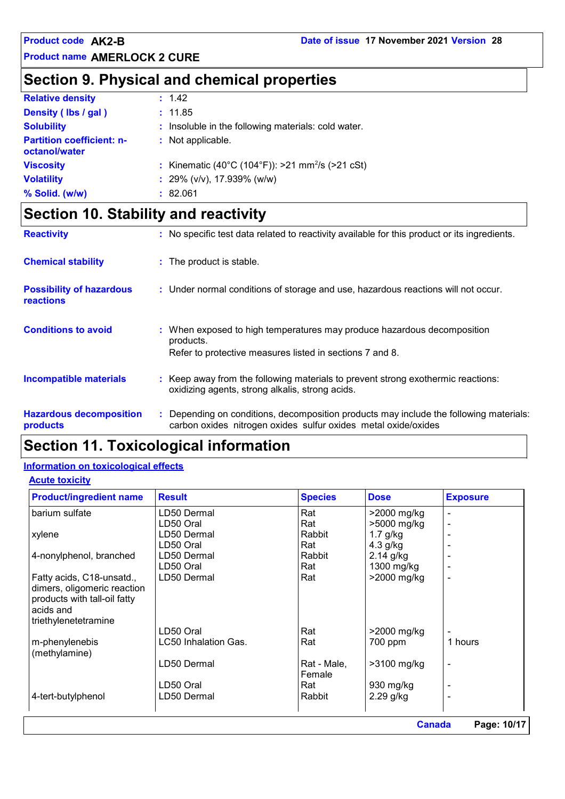# **Section 9. Physical and chemical properties**

| <b>Relative density</b>                           | : 1.42                                                       |
|---------------------------------------------------|--------------------------------------------------------------|
| Density (lbs / gal)                               | : 11.85                                                      |
| <b>Solubility</b>                                 | : Insoluble in the following materials: cold water.          |
| <b>Partition coefficient: n-</b><br>octanol/water | : Not applicable.                                            |
| <b>Viscosity</b>                                  | : Kinematic (40°C (104°F)): >21 mm <sup>2</sup> /s (>21 cSt) |
| <b>Volatility</b>                                 | : 29% (v/v), 17.939% (w/w)                                   |
| % Solid. (w/w)                                    | : 82.061                                                     |

# **Section 10. Stability and reactivity**

| <b>Reactivity</b>                                   | : No specific test data related to reactivity available for this product or its ingredients.                                                             |
|-----------------------------------------------------|----------------------------------------------------------------------------------------------------------------------------------------------------------|
| <b>Chemical stability</b>                           | : The product is stable.                                                                                                                                 |
| <b>Possibility of hazardous</b><br><b>reactions</b> | : Under normal conditions of storage and use, hazardous reactions will not occur.                                                                        |
| <b>Conditions to avoid</b>                          | : When exposed to high temperatures may produce hazardous decomposition<br>products.<br>Refer to protective measures listed in sections 7 and 8.         |
| <b>Incompatible materials</b>                       | : Keep away from the following materials to prevent strong exothermic reactions:<br>oxidizing agents, strong alkalis, strong acids.                      |
| <b>Hazardous decomposition</b><br>products          | : Depending on conditions, decomposition products may include the following materials:<br>carbon oxides nitrogen oxides sulfur oxides metal oxide/oxides |

# **Section 11. Toxicological information**

#### **Information on toxicological effects**

#### **Acute toxicity**

| Rat<br>Rat<br>Rabbit<br>Rat<br>Rabbit<br>Rat | >2000 mg/kg<br>>5000 mg/kg<br>$1.7$ g/kg<br>4.3 g/kg |         |
|----------------------------------------------|------------------------------------------------------|---------|
|                                              |                                                      |         |
|                                              |                                                      |         |
|                                              |                                                      |         |
|                                              |                                                      |         |
|                                              | $2.14$ g/kg                                          |         |
|                                              | 1300 mg/kg                                           |         |
| Rat                                          | >2000 mg/kg                                          |         |
|                                              |                                                      |         |
|                                              |                                                      |         |
|                                              |                                                      |         |
|                                              |                                                      |         |
| Rat                                          | >2000 mg/kg                                          |         |
| Rat                                          | 700 ppm                                              | 1 hours |
|                                              |                                                      |         |
| Rat - Male,                                  | $>3100$ mg/kg                                        |         |
| Female                                       |                                                      |         |
| Rat                                          | 930 mg/kg                                            |         |
|                                              | $2.29$ g/kg                                          |         |
| Rabbit                                       |                                                      |         |
|                                              |                                                      |         |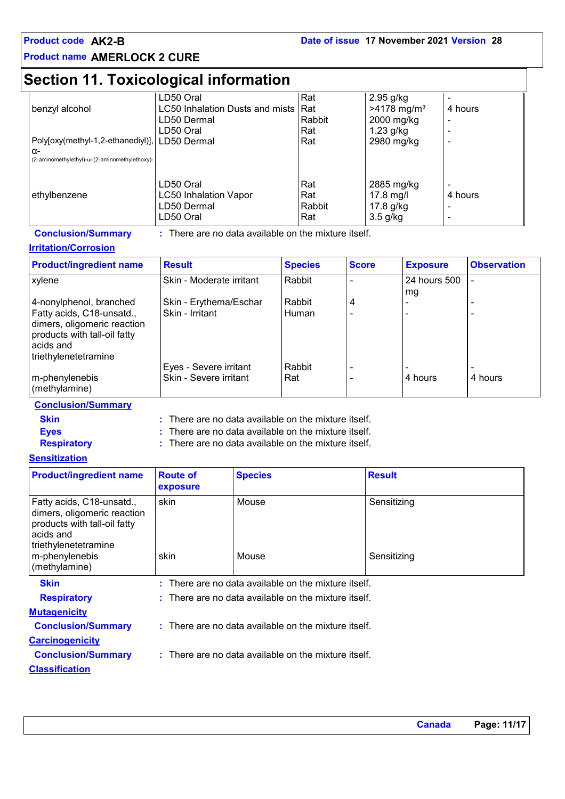## **Section 11. Toxicological information**

|                                                 | LD50 Oral                       | Rat    | $2.95$ g/kg               |         |
|-------------------------------------------------|---------------------------------|--------|---------------------------|---------|
| benzyl alcohol                                  | LC50 Inhalation Dusts and mists | Rat    | $>4178$ mg/m <sup>3</sup> | 4 hours |
|                                                 | LD50 Dermal                     | Rabbit | 2000 mg/kg                | ۰       |
|                                                 | LD50 Oral                       | Rat    | $1.23$ g/kg               | ۰       |
| Poly[oxy(methyl-1,2-ethanediyl)],   LD50 Dermal |                                 | Rat    | 2980 mg/kg                |         |
| $\alpha$ -                                      |                                 |        |                           |         |
| (2-aminomethylethyl)-ω-(2-aminomethylethoxy)-   |                                 |        |                           |         |
|                                                 |                                 |        |                           |         |
|                                                 | LD50 Oral                       | Rat    | 2885 mg/kg                |         |
| ethylbenzene                                    | <b>LC50 Inhalation Vapor</b>    | Rat    | $17.8$ mg/l               | 4 hours |
|                                                 | LD50 Dermal                     | Rabbit | $17.8$ g/kg               | -       |
|                                                 | LD50 Oral                       | Rat    | $3.5$ g/kg                | -       |

#### **Conclusion/Summary :**

: There are no data available on the mixture itself.

#### **Irritation/Corrosion**

| <b>Product/ingredient name</b> | <b>Result</b>            | <b>Species</b> | <b>Score</b> | <b>Exposure</b> | <b>Observation</b> |
|--------------------------------|--------------------------|----------------|--------------|-----------------|--------------------|
| xylene                         | Skin - Moderate irritant | Rabbit         |              | 24 hours 500    |                    |
|                                |                          |                |              | mg              |                    |
| 4-nonylphenol, branched        | Skin - Erythema/Eschar   | Rabbit         | 4            |                 |                    |
| Fatty acids, C18-unsatd.,      | Skin - Irritant          | Human          |              |                 |                    |
| dimers, oligomeric reaction    |                          |                |              |                 |                    |
| products with tall-oil fatty   |                          |                |              |                 |                    |
| acids and                      |                          |                |              |                 |                    |
| triethylenetetramine           |                          |                |              |                 |                    |
|                                | Eyes - Severe irritant   | Rabbit         |              |                 |                    |
| m-phenylenebis                 | Skin - Severe irritant   | Rat            |              | 4 hours         | 4 hours            |
| (methylamine)                  |                          |                |              |                 |                    |

#### **Conclusion/Summary**

**Skin Example 20 EXEC 12 :** There are no data available on the mixture itself.

**Eyes :** There are no data available on the mixture itself.

**Respiratory :**

There are no data available on the mixture itself.

#### **Sensitization**

| <b>Product/ingredient name</b>                                                                                                                                   | <b>Route of</b><br>exposure | <b>Species</b>                                         | <b>Result</b>              |
|------------------------------------------------------------------------------------------------------------------------------------------------------------------|-----------------------------|--------------------------------------------------------|----------------------------|
| Fatty acids, C18-unsatd.,<br>dimers, oligomeric reaction<br>products with tall-oil fatty<br>acids and<br>triethylenetetramine<br>m-phenylenebis<br>(methylamine) | skin<br>skin                | Mouse<br>Mouse                                         | Sensitizing<br>Sensitizing |
| <b>Skin</b>                                                                                                                                                      |                             | $:$ There are no data available on the mixture itself. |                            |
| <b>Respiratory</b>                                                                                                                                               |                             | $:$ There are no data available on the mixture itself. |                            |
| <b>Mutagenicity</b>                                                                                                                                              |                             |                                                        |                            |
| <b>Conclusion/Summary</b>                                                                                                                                        |                             | $:$ There are no data available on the mixture itself. |                            |
| <b>Carcinogenicity</b>                                                                                                                                           |                             |                                                        |                            |
| <b>Conclusion/Summary</b>                                                                                                                                        |                             | $:$ There are no data available on the mixture itself. |                            |
| <b>Classification</b>                                                                                                                                            |                             |                                                        |                            |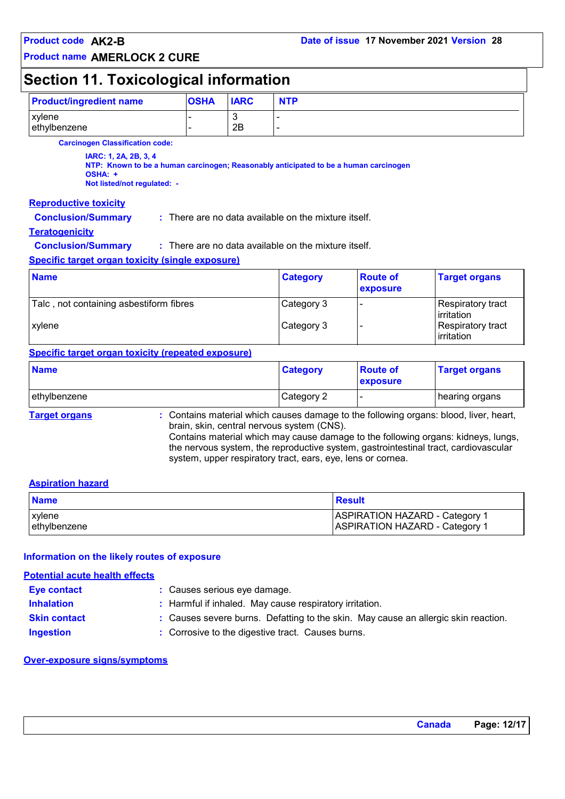# **Section 11. Toxicological information**

| <b>Product/ingredient name</b>                                                                                                                          | <b>OSHA</b> | <b>IARC</b> | <b>NTP</b>                                             |                             |                                 |
|---------------------------------------------------------------------------------------------------------------------------------------------------------|-------------|-------------|--------------------------------------------------------|-----------------------------|---------------------------------|
| xylene<br>ethylbenzene                                                                                                                                  |             | 3<br>2Β     |                                                        |                             |                                 |
| <b>Carcinogen Classification code:</b>                                                                                                                  |             |             |                                                        |                             |                                 |
| IARC: 1, 2A, 2B, 3, 4<br>NTP: Known to be a human carcinogen; Reasonably anticipated to be a human carcinogen<br>OSHA: +<br>Not listed/not regulated: - |             |             |                                                        |                             |                                 |
| <b>Reproductive toxicity</b>                                                                                                                            |             |             |                                                        |                             |                                 |
| <b>Conclusion/Summary</b>                                                                                                                               |             |             | $:$ There are no data available on the mixture itself. |                             |                                 |
| <b>Teratogenicity</b>                                                                                                                                   |             |             |                                                        |                             |                                 |
| <b>Conclusion/Summary</b>                                                                                                                               |             |             | $:$ There are no data available on the mixture itself. |                             |                                 |
| <b>Specific target organ toxicity (single exposure)</b>                                                                                                 |             |             |                                                        |                             |                                 |
| <b>Name</b>                                                                                                                                             |             |             | <b>Category</b>                                        | <b>Route of</b><br>exposure | <b>Target organs</b>            |
| Talc, not containing asbestiform fibres                                                                                                                 |             |             | Category 3                                             |                             | Respiratory tract<br>irritation |

### **Specific target organ toxicity (repeated exposure)**

| <b>Name</b>          |                                                                                                                                                                                                                          | <b>Category</b> | <b>Route of</b><br>exposure | <b>Target organs</b> |
|----------------------|--------------------------------------------------------------------------------------------------------------------------------------------------------------------------------------------------------------------------|-----------------|-----------------------------|----------------------|
| ethylbenzene         |                                                                                                                                                                                                                          | Category 2      |                             | hearing organs       |
| <b>Target organs</b> | : Contains material which causes damage to the following organs: blood, liver, heart,<br>brain, skin, central nervous system (CNS).<br>Contains material which may cause damage to the following organs: kidneys, lungs, |                 |                             |                      |

xylene **Category 3** - Respiratory tract

Contains material which may cause damage to the following organs: kidneys, lungs, the nervous system, the reproductive system, gastrointestinal tract, cardiovascular system, upper respiratory tract, ears, eye, lens or cornea.

#### **Aspiration hazard**

| <b>Name</b>    | <b>Result</b>                         |
|----------------|---------------------------------------|
| <b>Lxvlene</b> | <b>ASPIRATION HAZARD - Category 1</b> |
| lethvlbenzene  | <b>ASPIRATION HAZARD - Category 1</b> |

#### **Information on the likely routes of exposure**

#### **Potential acute health effects**

| <b>Eye contact</b>  | : Causes serious eye damage.                                                       |
|---------------------|------------------------------------------------------------------------------------|
| <b>Inhalation</b>   | : Harmful if inhaled. May cause respiratory irritation.                            |
| <b>Skin contact</b> | : Causes severe burns. Defatting to the skin. May cause an allergic skin reaction. |
| <b>Ingestion</b>    | : Corrosive to the digestive tract. Causes burns.                                  |
|                     |                                                                                    |

#### **Over-exposure signs/symptoms**

irritation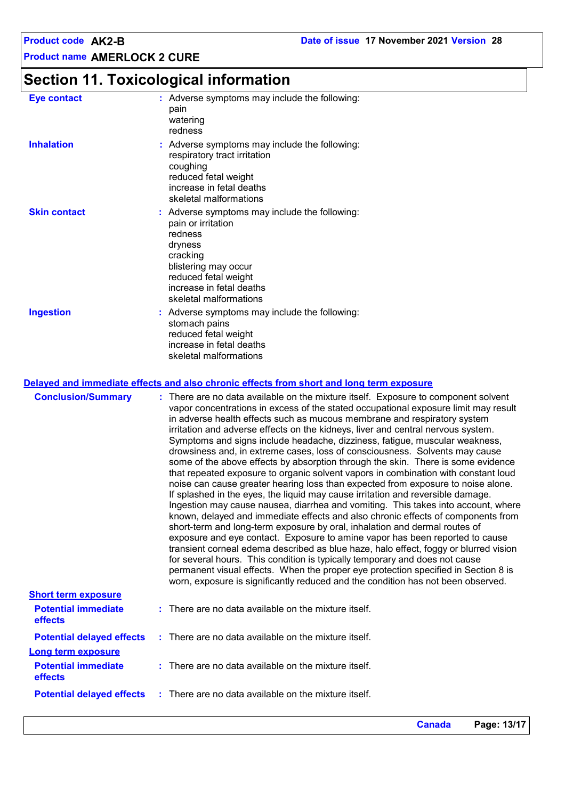# **Section 11. Toxicological information**

| <b>Eye contact</b>  | : Adverse symptoms may include the following:<br>pain<br>watering<br>redness                                                                                                                                |
|---------------------|-------------------------------------------------------------------------------------------------------------------------------------------------------------------------------------------------------------|
| <b>Inhalation</b>   | : Adverse symptoms may include the following:<br>respiratory tract irritation<br>coughing<br>reduced fetal weight<br>increase in fetal deaths<br>skeletal malformations                                     |
| <b>Skin contact</b> | : Adverse symptoms may include the following:<br>pain or irritation<br>redness<br>dryness<br>cracking<br>blistering may occur<br>reduced fetal weight<br>increase in fetal deaths<br>skeletal malformations |
| <b>Ingestion</b>    | : Adverse symptoms may include the following:<br>stomach pains<br>reduced fetal weight<br>increase in fetal deaths<br>skeletal malformations                                                                |

#### **Delayed and immediate effects and also chronic effects from short and long term exposure**

| <b>Conclusion/Summary</b>                                           | : There are no data available on the mixture itself. Exposure to component solvent<br>vapor concentrations in excess of the stated occupational exposure limit may result<br>in adverse health effects such as mucous membrane and respiratory system<br>irritation and adverse effects on the kidneys, liver and central nervous system.<br>Symptoms and signs include headache, dizziness, fatigue, muscular weakness,<br>drowsiness and, in extreme cases, loss of consciousness. Solvents may cause<br>some of the above effects by absorption through the skin. There is some evidence<br>that repeated exposure to organic solvent vapors in combination with constant loud<br>noise can cause greater hearing loss than expected from exposure to noise alone.<br>If splashed in the eyes, the liquid may cause irritation and reversible damage.<br>Ingestion may cause nausea, diarrhea and vomiting. This takes into account, where<br>known, delayed and immediate effects and also chronic effects of components from<br>short-term and long-term exposure by oral, inhalation and dermal routes of<br>exposure and eye contact. Exposure to amine vapor has been reported to cause<br>transient corneal edema described as blue haze, halo effect, foggy or blurred vision<br>for several hours. This condition is typically temporary and does not cause<br>permanent visual effects. When the proper eye protection specified in Section 8 is<br>worn, exposure is significantly reduced and the condition has not been observed. |
|---------------------------------------------------------------------|--------------------------------------------------------------------------------------------------------------------------------------------------------------------------------------------------------------------------------------------------------------------------------------------------------------------------------------------------------------------------------------------------------------------------------------------------------------------------------------------------------------------------------------------------------------------------------------------------------------------------------------------------------------------------------------------------------------------------------------------------------------------------------------------------------------------------------------------------------------------------------------------------------------------------------------------------------------------------------------------------------------------------------------------------------------------------------------------------------------------------------------------------------------------------------------------------------------------------------------------------------------------------------------------------------------------------------------------------------------------------------------------------------------------------------------------------------------------------------------------------------------------------------------------------|
| <b>Short term exposure</b><br><b>Potential immediate</b><br>effects | $:$ There are no data available on the mixture itself.                                                                                                                                                                                                                                                                                                                                                                                                                                                                                                                                                                                                                                                                                                                                                                                                                                                                                                                                                                                                                                                                                                                                                                                                                                                                                                                                                                                                                                                                                           |
| <b>Potential delayed effects</b>                                    | $\therefore$ There are no data available on the mixture itself.                                                                                                                                                                                                                                                                                                                                                                                                                                                                                                                                                                                                                                                                                                                                                                                                                                                                                                                                                                                                                                                                                                                                                                                                                                                                                                                                                                                                                                                                                  |
| <b>Long term exposure</b>                                           |                                                                                                                                                                                                                                                                                                                                                                                                                                                                                                                                                                                                                                                                                                                                                                                                                                                                                                                                                                                                                                                                                                                                                                                                                                                                                                                                                                                                                                                                                                                                                  |
| <b>Potential immediate</b><br>effects                               | $:$ There are no data available on the mixture itself.                                                                                                                                                                                                                                                                                                                                                                                                                                                                                                                                                                                                                                                                                                                                                                                                                                                                                                                                                                                                                                                                                                                                                                                                                                                                                                                                                                                                                                                                                           |
| <b>Potential delayed effects</b>                                    | : There are no data available on the mixture itself.                                                                                                                                                                                                                                                                                                                                                                                                                                                                                                                                                                                                                                                                                                                                                                                                                                                                                                                                                                                                                                                                                                                                                                                                                                                                                                                                                                                                                                                                                             |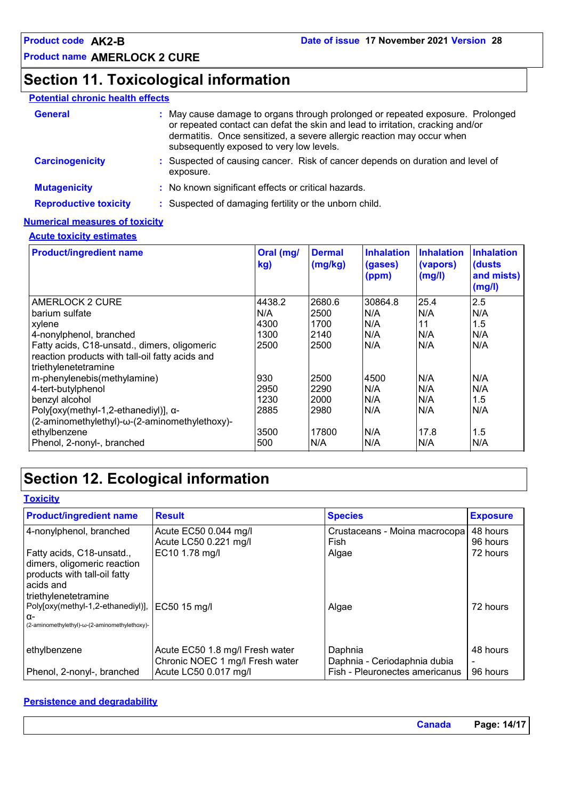# **Section 11. Toxicological information**

#### **Potential chronic health effects**

| <b>General</b>               | : May cause damage to organs through prolonged or repeated exposure. Prolonged<br>or repeated contact can defat the skin and lead to irritation, cracking and/or<br>dermatitis. Once sensitized, a severe allergic reaction may occur when<br>subsequently exposed to very low levels. |
|------------------------------|----------------------------------------------------------------------------------------------------------------------------------------------------------------------------------------------------------------------------------------------------------------------------------------|
| <b>Carcinogenicity</b>       | : Suspected of causing cancer. Risk of cancer depends on duration and level of<br>exposure.                                                                                                                                                                                            |
| <b>Mutagenicity</b>          | : No known significant effects or critical hazards.                                                                                                                                                                                                                                    |
| <b>Reproductive toxicity</b> | : Suspected of damaging fertility or the unborn child.                                                                                                                                                                                                                                 |

#### **Numerical measures of toxicity**

#### **Acute toxicity estimates**

| <b>Product/ingredient name</b>                                                                                          | Oral (mg/<br>kg) | <b>Dermal</b><br>(mg/kg) | <b>Inhalation</b><br>(gases)<br>(ppm) | <b>Inhalation</b><br>(vapors)<br>(mg/l) | <b>Inhalation</b><br>(dusts<br>and mists)<br>(mg/l) |
|-------------------------------------------------------------------------------------------------------------------------|------------------|--------------------------|---------------------------------------|-----------------------------------------|-----------------------------------------------------|
| AMERLOCK 2 CURE                                                                                                         | 4438.2           | 2680.6                   | 30864.8                               | 25.4                                    | 2.5                                                 |
| barium sulfate                                                                                                          | N/A              | 2500                     | N/A                                   | N/A                                     | N/A                                                 |
| xylene                                                                                                                  | 4300             | 1700                     | N/A                                   | 11                                      | 1.5                                                 |
| 4-nonylphenol, branched                                                                                                 | 1300             | 2140                     | N/A                                   | N/A                                     | N/A                                                 |
| Fatty acids, C18-unsatd., dimers, oligomeric<br>reaction products with tall-oil fatty acids and<br>triethylenetetramine | 2500             | 2500                     | N/A                                   | N/A                                     | N/A                                                 |
| m-phenylenebis(methylamine)                                                                                             | 930              | 2500                     | 4500                                  | N/A                                     | N/A                                                 |
| 4-tert-butylphenol                                                                                                      | 2950             | 2290                     | N/A                                   | N/A                                     | N/A                                                 |
| benzyl alcohol                                                                                                          | 1230             | 2000                     | N/A                                   | N/A                                     | 1.5                                                 |
| Poly[oxy(methyl-1,2-ethanediyl)], α-<br>(2-aminomethylethyl)-ω-(2-aminomethylethoxy)-                                   | 2885             | 2980                     | N/A                                   | N/A                                     | N/A                                                 |
| ethylbenzene                                                                                                            | 3500             | 17800                    | N/A                                   | 17.8                                    | 1.5                                                 |
| Phenol, 2-nonyl-, branched                                                                                              | 500              | N/A                      | N/A                                   | N/A                                     | N/A                                                 |

# **Section 12. Ecological information**

| <b>Toxicity</b>                                                                                                                 |                                                                    |                                         |                      |
|---------------------------------------------------------------------------------------------------------------------------------|--------------------------------------------------------------------|-----------------------------------------|----------------------|
| <b>Product/ingredient name</b>                                                                                                  | <b>Result</b>                                                      | <b>Species</b>                          | <b>Exposure</b>      |
| 4-nonylphenol, branched                                                                                                         | Acute EC50 0.044 mg/l<br>Acute LC50 0.221 mg/l                     | Crustaceans - Moina macrocopa<br>Fish   | 48 hours<br>96 hours |
| Fatty acids, C18-unsatd.,<br>dimers, oligomeric reaction<br>products with tall-oil fatty<br>l acids and<br>triethylenetetramine | EC10 1.78 mg/l                                                     | Algae                                   | 72 hours             |
| Poly[oxy(methyl-1,2-ethanediyl)],<br>α-<br>(2-aminomethylethyl)-ω-(2-aminomethylethoxy)-                                        | EC50 15 mg/l                                                       | Algae                                   | 72 hours             |
| ethylbenzene                                                                                                                    | Acute EC50 1.8 mg/l Fresh water<br>Chronic NOEC 1 mg/l Fresh water | Daphnia<br>Daphnia - Ceriodaphnia dubia | 48 hours             |
| Phenol, 2-nonyl-, branched                                                                                                      | Acute LC50 0.017 mg/l                                              | Fish - Pleuronectes americanus          | 96 hours             |

#### **Persistence and degradability**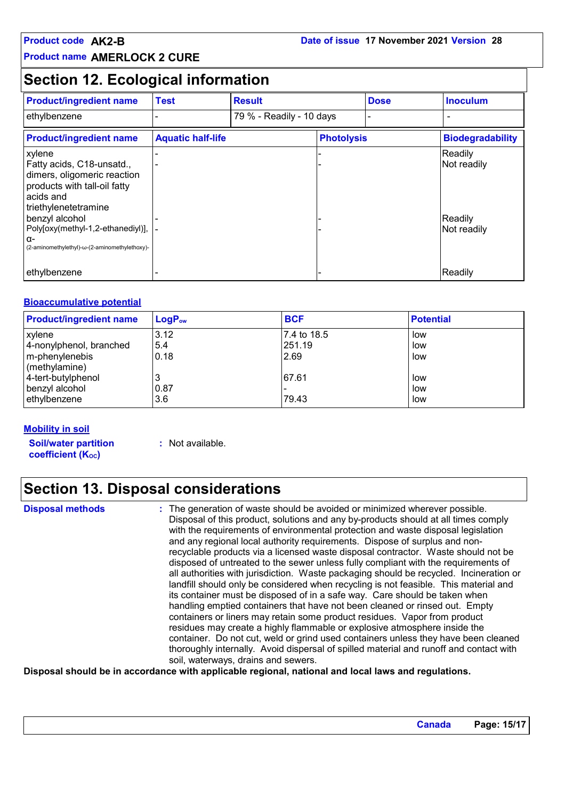### **Section 12. Ecological information**

| <b>Product/ingredient name</b>                                                                                                                                                                                                                           | <b>Test</b>              | <b>Result</b>            |                   | <b>Dose</b> | <b>Inoculum</b>                                  |
|----------------------------------------------------------------------------------------------------------------------------------------------------------------------------------------------------------------------------------------------------------|--------------------------|--------------------------|-------------------|-------------|--------------------------------------------------|
| ethylbenzene                                                                                                                                                                                                                                             |                          | 79 % - Readily - 10 days |                   |             | -                                                |
| <b>Product/ingredient name</b>                                                                                                                                                                                                                           | <b>Aquatic half-life</b> |                          | <b>Photolysis</b> |             | <b>Biodegradability</b>                          |
| xylene<br>Fatty acids, C18-unsatd.,<br>dimers, oligomeric reaction<br>products with tall-oil fatty<br>acids and<br>triethylenetetramine<br>benzyl alcohol<br>Poly[oxy(methyl-1,2-ethanediyl)],  -<br>α-<br>(2-aminomethylethyl)-ω-(2-aminomethylethoxy)- |                          |                          |                   |             | Readily<br>Not readily<br>Readily<br>Not readily |
| ethylbenzene                                                                                                                                                                                                                                             |                          |                          |                   |             | Readily                                          |

#### **Bioaccumulative potential**

| <b>Product/ingredient name</b>      | $LogP_{ow}$ | <b>BCF</b>  | <b>Potential</b> |
|-------------------------------------|-------------|-------------|------------------|
| xylene                              | 3.12        | 7.4 to 18.5 | low              |
| 4-nonylphenol, branched             | 5.4         | 251.19      | low              |
| m-phenylenebis<br>$ $ (methylamine) | 0.18        | 2.69        | low              |
| 4-tert-butylphenol                  |             | 67.61       | low              |
| benzyl alcohol                      | 0.87        |             | low              |
| ethylbenzene                        | 3.6         | 79.43       | low              |

#### **Mobility in soil**

**Soil/water partition coefficient (Koc)** 

**:** Not available.

# **Section 13. Disposal considerations**

**Disposal methods :**

The generation of waste should be avoided or minimized wherever possible. Disposal of this product, solutions and any by-products should at all times comply with the requirements of environmental protection and waste disposal legislation and any regional local authority requirements. Dispose of surplus and nonrecyclable products via a licensed waste disposal contractor. Waste should not be disposed of untreated to the sewer unless fully compliant with the requirements of all authorities with jurisdiction. Waste packaging should be recycled. Incineration or landfill should only be considered when recycling is not feasible. This material and its container must be disposed of in a safe way. Care should be taken when handling emptied containers that have not been cleaned or rinsed out. Empty containers or liners may retain some product residues. Vapor from product residues may create a highly flammable or explosive atmosphere inside the container. Do not cut, weld or grind used containers unless they have been cleaned thoroughly internally. Avoid dispersal of spilled material and runoff and contact with soil, waterways, drains and sewers.

**Disposal should be in accordance with applicable regional, national and local laws and regulations.**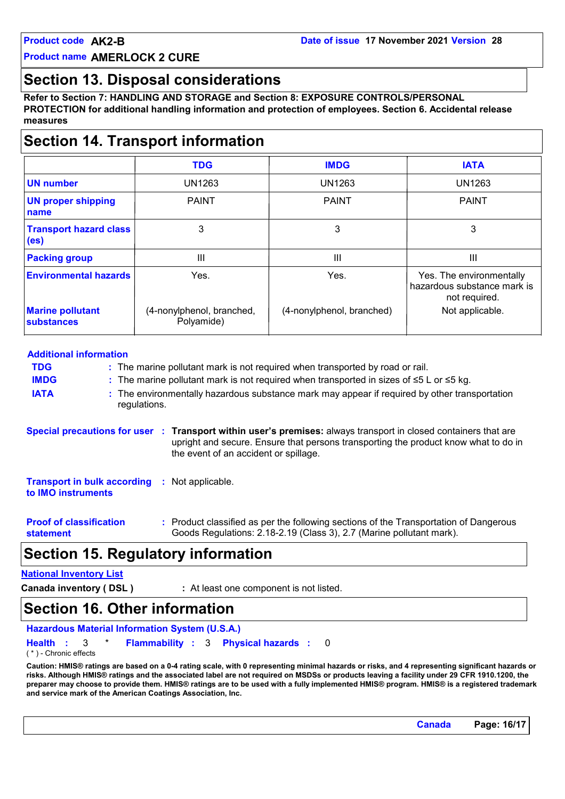### **Section 13. Disposal considerations**

**Refer to Section 7: HANDLING AND STORAGE and Section 8: EXPOSURE CONTROLS/PERSONAL PROTECTION for additional handling information and protection of employees. Section 6. Accidental release measures**

# **Section 14. Transport information**

|                                                    | <b>TDG</b>                              | <b>IMDG</b>               | <b>IATA</b>                                                              |
|----------------------------------------------------|-----------------------------------------|---------------------------|--------------------------------------------------------------------------|
| <b>UN number</b>                                   | <b>UN1263</b>                           | <b>UN1263</b>             | <b>UN1263</b>                                                            |
| <b>UN proper shipping</b><br>name                  | <b>PAINT</b>                            | <b>PAINT</b>              | <b>PAINT</b>                                                             |
| <b>Transport hazard class</b><br>(e <sub>s</sub> ) | 3                                       | 3                         | 3                                                                        |
| <b>Packing group</b>                               | III                                     | Ш                         | Ш                                                                        |
| <b>Environmental hazards</b>                       | Yes.                                    | Yes.                      | Yes. The environmentally<br>hazardous substance mark is<br>not required. |
| <b>Marine pollutant</b><br><b>substances</b>       | (4-nonylphenol, branched,<br>Polyamide) | (4-nonylphenol, branched) | Not applicable.                                                          |

### **Special precautions for user Transport within user's premises:** always transport in closed containers that are **:** upright and secure. Ensure that persons transporting the product know what to do in the event of an accident or spillage. **Additional information IMDG :** The marine pollutant mark is not required when transported in sizes of ≤5 L or ≤5 kg. **IATA :** The environmentally hazardous substance mark may appear if required by other transportation regulations. **TDG :** The marine pollutant mark is not required when transported by road or rail. **Proof of classification statement :** Product classified as per the following sections of the Transportation of Dangerous Goods Regulations: 2.18-2.19 (Class 3), 2.7 (Marine pollutant mark). **Transport in bulk according :** Not applicable. **to IMO instruments**

### **Section 15. Regulatory information**

#### **National Inventory List**

**Canada inventory ( DSL ) :** At least one component is not listed.

### **Section 16. Other information**

```
Hazardous Material Information System (U.S.A.)
Health Flammability 3 Physical hazards
: 3 * : : 0
```
( \* ) - Chronic effects

**Caution: HMIS® ratings are based on a 0-4 rating scale, with 0 representing minimal hazards or risks, and 4 representing significant hazards or risks. Although HMIS® ratings and the associated label are not required on MSDSs or products leaving a facility under 29 CFR 1910.1200, the preparer may choose to provide them. HMIS® ratings are to be used with a fully implemented HMIS® program. HMIS® is a registered trademark and service mark of the American Coatings Association, Inc.**

**Canada Page: 16/17**